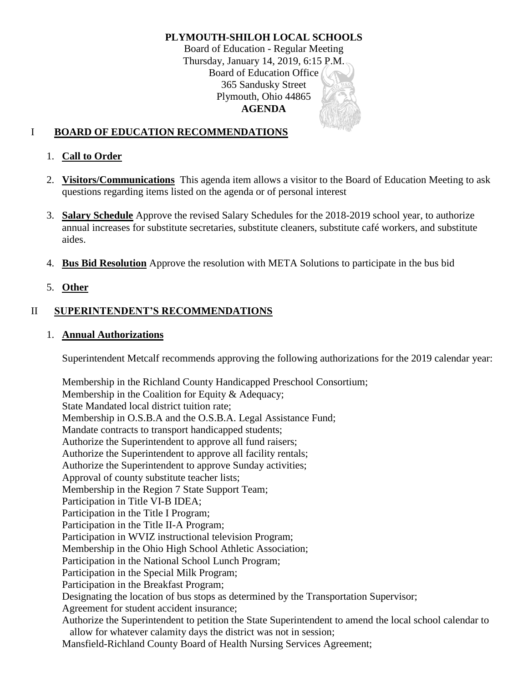# **PLYMOUTH-SHILOH LOCAL SCHOOLS** Board of Education - Regular Meeting Thursday, January 14, 2019, 6:15 P.M. Board of Education Office 365 Sandusky Street Plymouth, Ohio 44865 **AGENDA**

# I **BOARD OF EDUCATION RECOMMENDATIONS**

## 1. **Call to Order**

- 2. **Visitors/Communications** This agenda item allows a visitor to the Board of Education Meeting to ask questions regarding items listed on the agenda or of personal interest
- 3. **Salary Schedule** Approve the revised Salary Schedules for the 2018-2019 school year, to authorize annual increases for substitute secretaries, substitute cleaners, substitute café workers, and substitute aides.
- 4. **Bus Bid Resolution** Approve the resolution with META Solutions to participate in the bus bid

## 5. **Other**

## II **SUPERINTENDENT'S RECOMMENDATIONS**

### 1. **Annual Authorizations**

Superintendent Metcalf recommends approving the following authorizations for the 2019 calendar year:

Membership in the Richland County Handicapped Preschool Consortium; Membership in the Coalition for Equity & Adequacy; State Mandated local district tuition rate; Membership in O.S.B.A and the O.S.B.A. Legal Assistance Fund; Mandate contracts to transport handicapped students; Authorize the Superintendent to approve all fund raisers; Authorize the Superintendent to approve all facility rentals; Authorize the Superintendent to approve Sunday activities; Approval of county substitute teacher lists; Membership in the Region 7 State Support Team; Participation in Title VI-B IDEA; Participation in the Title I Program; Participation in the Title II-A Program; Participation in WVIZ instructional television Program; Membership in the Ohio High School Athletic Association; Participation in the National School Lunch Program; Participation in the Special Milk Program; Participation in the Breakfast Program; Designating the location of bus stops as determined by the Transportation Supervisor; Agreement for student accident insurance; Authorize the Superintendent to petition the State Superintendent to amend the local school calendar to allow for whatever calamity days the district was not in session; Mansfield-Richland County Board of Health Nursing Services Agreement;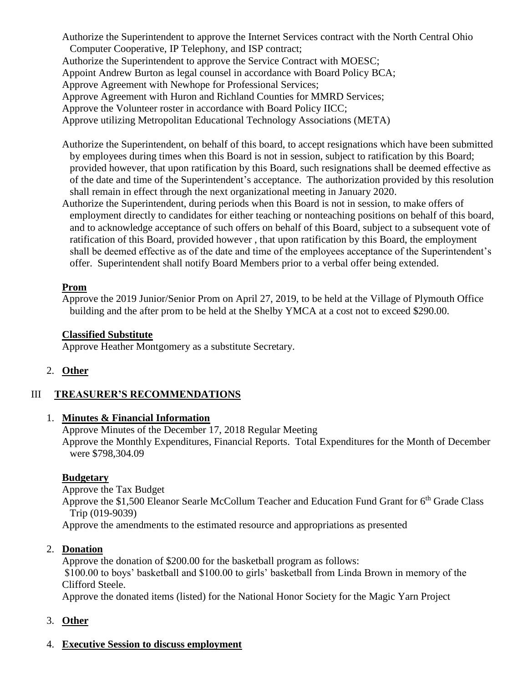Authorize the Superintendent to approve the Internet Services contract with the North Central Ohio Computer Cooperative, IP Telephony, and ISP contract; Authorize the Superintendent to approve the Service Contract with MOESC; Appoint Andrew Burton as legal counsel in accordance with Board Policy BCA; Approve Agreement with Newhope for Professional Services; Approve Agreement with Huron and Richland Counties for MMRD Services; Approve the Volunteer roster in accordance with Board Policy IICC; Approve utilizing Metropolitan Educational Technology Associations (META)

- Authorize the Superintendent, on behalf of this board, to accept resignations which have been submitted by employees during times when this Board is not in session, subject to ratification by this Board; provided however, that upon ratification by this Board, such resignations shall be deemed effective as of the date and time of the Superintendent's acceptance. The authorization provided by this resolution shall remain in effect through the next organizational meeting in January 2020.
- Authorize the Superintendent, during periods when this Board is not in session, to make offers of employment directly to candidates for either teaching or nonteaching positions on behalf of this board, and to acknowledge acceptance of such offers on behalf of this Board, subject to a subsequent vote of ratification of this Board, provided however , that upon ratification by this Board, the employment shall be deemed effective as of the date and time of the employees acceptance of the Superintendent's offer. Superintendent shall notify Board Members prior to a verbal offer being extended.

## **Prom**

Approve the 2019 Junior/Senior Prom on April 27, 2019, to be held at the Village of Plymouth Office building and the after prom to be held at the Shelby YMCA at a cost not to exceed \$290.00.

### **Classified Substitute**

Approve Heather Montgomery as a substitute Secretary.

### 2. **Other**

### III **TREASURER'S RECOMMENDATIONS**

### 1. **Minutes & Financial Information**

Approve Minutes of the December 17, 2018 Regular Meeting Approve the Monthly Expenditures, Financial Reports. Total Expenditures for the Month of December were \$798,304.09

### **Budgetary**

Approve the Tax Budget Approve the \$1,500 Eleanor Searle McCollum Teacher and Education Fund Grant for 6<sup>th</sup> Grade Class Trip (019-9039) Approve the amendments to the estimated resource and appropriations as presented

### 2. **Donation**

Approve the donation of \$200.00 for the basketball program as follows: \$100.00 to boys' basketball and \$100.00 to girls' basketball from Linda Brown in memory of the Clifford Steele.

Approve the donated items (listed) for the National Honor Society for the Magic Yarn Project

3. **Other**

### 4. **Executive Session to discuss employment**